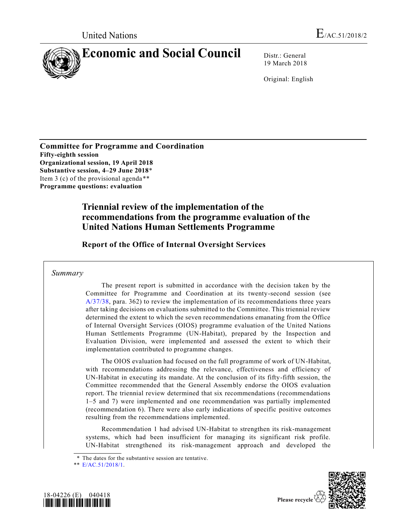

19 March 2018

Original: English

**Committee for Programme and Coordination Fifty-eighth session Organizational session, 19 April 2018 Substantive session, 4–29 June 2018**\* Item 3 (c) of the provisional agenda\*\* **Programme questions: evaluation**

# **Triennial review of the implementation of the recommendations from the programme evaluation of the United Nations Human Settlements Programme**

**Report of the Office of Internal Oversight Services**

## *Summary*

The present report is submitted in accordance with the decision taken by the Committee for Programme and Coordination at its twenty-second session (see [A/37/38,](https://undocs.org/A/37/38) para. 362) to review the implementation of its recommendations three years after taking decisions on evaluations submitted to the Committee. This triennial review determined the extent to which the seven recommendations emanating from the Office of Internal Oversight Services (OIOS) programme evaluation of the United Nations Human Settlements Programme (UN-Habitat), prepared by the Inspection and Evaluation Division, were implemented and assessed the extent to which their implementation contributed to programme changes.

The OIOS evaluation had focused on the full programme of work of UN-Habitat, with recommendations addressing the relevance, effectiveness and efficiency of UN-Habitat in executing its mandate. At the conclusion of its fifty-fifth session, the Committee recommended that the General Assembly endorse the OIOS evaluation report. The triennial review determined that six recommendations (recommendations 1–5 and 7) were implemented and one recommendation was partially implemented (recommendation 6). There were also early indications of specific positive outcomes resulting from the recommendations implemented.

Recommendation 1 had advised UN-Habitat to strengthen its risk-management systems, which had been insufficient for managing its significant risk profile. UN-Habitat strengthened its risk-management approach and developed the

<sup>\*\*</sup> [E/AC.51/2018/1.](https://undocs.org/E/AC.51/2018/1)





Please recycle  $\Diamond$ 

<sup>\*</sup> The dates for the substantive session are tentative.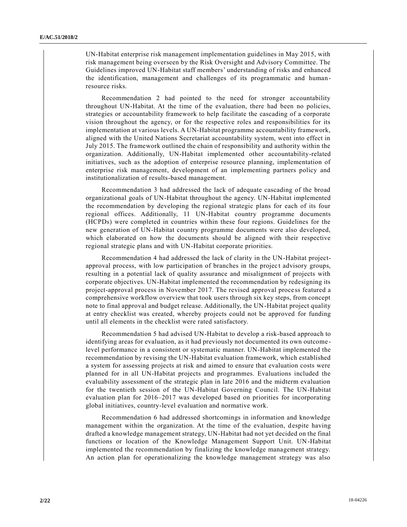UN-Habitat enterprise risk management implementation guidelines in May 2015, with risk management being overseen by the Risk Oversight and Advisory Committee. The Guidelines improved UN-Habitat staff members' understanding of risks and enhanced the identification, management and challenges of its programmatic and humanresource risks.

Recommendation 2 had pointed to the need for stronger accountability throughout UN-Habitat. At the time of the evaluation, there had been no policies, strategies or accountability framework to help facilitate the cascading of a corporate vision throughout the agency, or for the respective roles and responsibilities for its implementation at various levels. A UN-Habitat programme accountability framework, aligned with the United Nations Secretariat accountability system, went into effect in July 2015. The framework outlined the chain of responsibility and authority within the organization. Additionally, UN-Habitat implemented other accountability-related initiatives, such as the adoption of enterprise resource planning, implementation of enterprise risk management, development of an implementing partners policy and institutionalization of results-based management.

Recommendation 3 had addressed the lack of adequate cascading of the broad organizational goals of UN-Habitat throughout the agency. UN-Habitat implemented the recommendation by developing the regional strategic plans for each of its four regional offices. Additionally, 11 UN-Habitat country programme documents (HCPDs) were completed in countries within these four regions. Guidelines for the new generation of UN-Habitat country programme documents were also developed, which elaborated on how the documents should be aligned with their respective regional strategic plans and with UN-Habitat corporate priorities.

Recommendation 4 had addressed the lack of clarity in the UN-Habitat projectapproval process, with low participation of branches in the project advisory groups, resulting in a potential lack of quality assurance and misalignment of projects with corporate objectives. UN-Habitat implemented the recommendation by redesigning its project-approval process in November 2017. The revised approval process featured a comprehensive workflow overview that took users through six key steps, from concept note to final approval and budget release. Additionally, the UN-Habitat project quality at entry checklist was created, whereby projects could not be approved for funding until all elements in the checklist were rated satisfactory.

Recommendation 5 had advised UN-Habitat to develop a risk-based approach to identifying areas for evaluation, as it had previously not documented its own outcome level performance in a consistent or systematic manner. UN-Habitat implemented the recommendation by revising the UN-Habitat evaluation framework, which established a system for assessing projects at risk and aimed to ensure that evaluation costs were planned for in all UN-Habitat projects and programmes. Evaluations included the evaluability assessment of the strategic plan in late 2016 and the midterm evaluation for the twentieth session of the UN-Habitat Governing Council. The UN-Habitat evaluation plan for 2016–2017 was developed based on priorities for incorporating global initiatives, country-level evaluation and normative work.

Recommendation 6 had addressed shortcomings in information and knowledge management within the organization. At the time of the evaluation, despite having drafted a knowledge management strategy, UN-Habitat had not yet decided on the final functions or location of the Knowledge Management Support Unit. UN-Habitat implemented the recommendation by finalizing the knowledge management strategy. An action plan for operationalizing the knowledge management strategy was also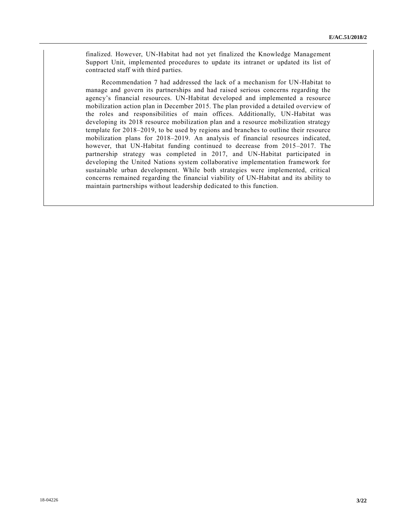finalized. However, UN-Habitat had not yet finalized the Knowledge Management Support Unit, implemented procedures to update its intranet or updated its list of contracted staff with third parties.

Recommendation 7 had addressed the lack of a mechanism for UN-Habitat to manage and govern its partnerships and had raised serious concerns regarding the agency's financial resources. UN-Habitat developed and implemented a resource mobilization action plan in December 2015. The plan provided a detailed overview of the roles and responsibilities of main offices. Additionally, UN-Habitat was developing its 2018 resource mobilization plan and a resource mobilization strategy template for 2018–2019, to be used by regions and branches to outline their resource mobilization plans for 2018–2019. An analysis of financial resources indicated, however, that UN-Habitat funding continued to decrease from 2015–2017. The partnership strategy was completed in 2017, and UN-Habitat participated in developing the United Nations system collaborative implementation framework for sustainable urban development. While both strategies were implemented, critical concerns remained regarding the financial viability of UN-Habitat and its ability to maintain partnerships without leadership dedicated to this function.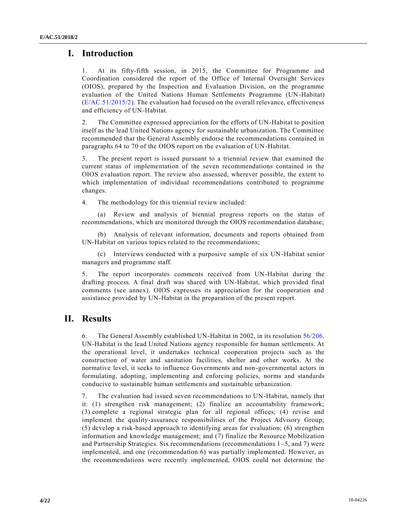## **I. Introduction**

1. At its fifty-fifth session, in 2015, the Committee for Programme and Coordination considered the report of the Office of Internal Oversight Services (OIOS), prepared by the Inspection and Evaluation Division, on the programme evaluation of the United Nations Human Settlements Programme (UN-Habitat) [\(E/AC.51/2015/2\)](https://undocs.org/E/AC.51/2015/2). The evaluation had focused on the overall relevance, effectiveness and efficiency of UN-Habitat.

2. The Committee expressed appreciation for the efforts of UN-Habitat to position itself as the lead United Nations agency for sustainable urbanization. The Committee recommended that the General Assembly endorse the recommendations contained in paragraphs 64 to 70 of the OIOS report on the evaluation of UN-Habitat.

3. The present report is issued pursuant to a triennial review that examined the current status of implementation of the seven recommendations contained in the OIOS evaluation report. The review also assessed, wherever possible, the extent to which implementation of individual recommendations contributed to programme changes.

4. The methodology for this triennial review included:

(a) Review and analysis of biennial progress reports on the status of recommendations, which are monitored through the OIOS recommendation database;

(b) Analysis of relevant information, documents and reports obtained from UN-Habitat on various topics related to the recommendations;

(c) Interviews conducted with a purposive sample of six UN-Habitat senior managers and programme staff.

5. The report incorporates comments received from UN-Habitat during the drafting process. A final draft was shared with UN-Habitat, which provided final comments (see annex). OIOS expresses its appreciation for the cooperation and assistance provided by UN-Habitat in the preparation of the present report.

# **II. Results**

6. The General Assembly established UN-Habitat in 2002, in its resolution [56/206.](https://undocs.org/A/RES/56/206) UN-Habitat is the lead United Nations agency responsible for human settlements. At the operational level, it undertakes technical cooperation projects such as the construction of water and sanitation facilities, shelter and other works. At the normative level, it seeks to influence Governments and non-governmental actors in formulating, adopting, implementing and enforcing policies, norms and standards conducive to sustainable human settlements and sustainable urbanization.

7. The evaluation had issued seven recommendations to UN-Habitat, namely that it: (1) strengthen risk management; (2) finalize an accountability framework; (3) complete a regional strategic plan for all regional offices; (4) revise and implement the quality-assurance responsibilities of the Project Advisory Group; (5) develop a risk-based approach to identifying areas for evaluation; (6) strengthen information and knowledge management; and (7) finalize the Resource Mobilization and Partnership Strategies. Six recommendations (recommendations 1–5, and 7) were implemented, and one (recommendation 6) was partially implemented. However, as the recommendations were recently implemented, OIOS could not determine the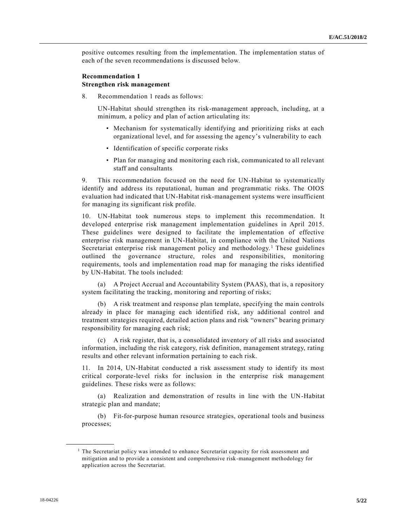positive outcomes resulting from the implementation. The implementation status of each of the seven recommendations is discussed below.

## **Recommendation 1 Strengthen risk management**

8. Recommendation 1 reads as follows:

UN-Habitat should strengthen its risk-management approach, including, at a minimum, a policy and plan of action articulating its:

- Mechanism for systematically identifying and prioritizing risks at each organizational level, and for assessing the agency's vulnerability to each
- Identification of specific corporate risks
- Plan for managing and monitoring each risk, communicated to all relevant staff and consultants

9. This recommendation focused on the need for UN-Habitat to systematically identify and address its reputational, human and programmatic risks. The OIOS evaluation had indicated that UN-Habitat risk-management systems were insufficient for managing its significant risk profile.

10. UN-Habitat took numerous steps to implement this recommendation. It developed enterprise risk management implementation guidelines in April 2015. These guidelines were designed to facilitate the implementation of effective enterprise risk management in UN-Habitat, in compliance with the United Nations Secretariat enterprise risk management policy and methodology.<sup>1</sup> These guidelines outlined the governance structure, roles and responsibilities, monitoring requirements, tools and implementation road map for managing the risks identified by UN-Habitat. The tools included:

(a) A Project Accrual and Accountability System (PAAS), that is, a repository system facilitating the tracking, monitoring and reporting of risks;

(b) A risk treatment and response plan template, specifying the main controls already in place for managing each identified risk, any additional control and treatment strategies required, detailed action plans and risk "owners" bearing primary responsibility for managing each risk;

(c) A risk register, that is, a consolidated inventory of all risks and associated information, including the risk category, risk definition, management strategy, rating results and other relevant information pertaining to each risk.

11. In 2014, UN-Habitat conducted a risk assessment study to identify its most critical corporate-level risks for inclusion in the enterprise risk management guidelines. These risks were as follows:

(a) Realization and demonstration of results in line with the UN-Habitat strategic plan and mandate;

(b) Fit-for-purpose human resource strategies, operational tools and business processes;

 $<sup>1</sup>$  The Secretariat policy was intended to enhance Secretariat capacity for risk assessment and</sup> mitigation and to provide a consistent and comprehensive risk-management methodology for application across the Secretariat.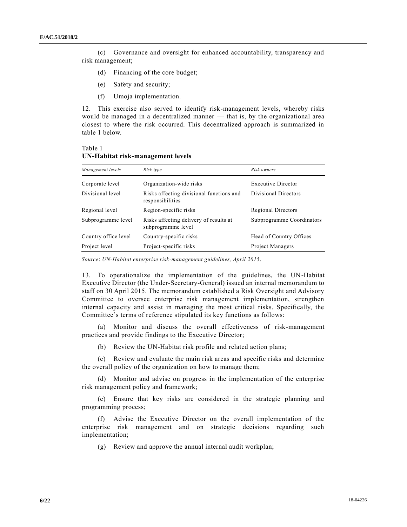(c) Governance and oversight for enhanced accountability, transparency and risk management;

- (d) Financing of the core budget;
- (e) Safety and security;
- (f) Umoja implementation.

12. This exercise also served to identify risk-management levels, whereby risks would be managed in a decentralized manner — that is, by the organizational area closest to where the risk occurred. This decentralized approach is summarized in table 1 below.

| Table 1                           |  |
|-----------------------------------|--|
| UN-Habitat risk-management levels |  |

| Management levels    | Risk type                                                    | Risk owners               |
|----------------------|--------------------------------------------------------------|---------------------------|
| Corporate level      | Organization-wide risks                                      | <b>Executive Director</b> |
| Divisional level     | Risks affecting divisional functions and<br>responsibilities | Divisional Directors      |
| Regional level       | Region-specific risks                                        | Regional Directors        |
| Subprogramme level   | Risks affecting delivery of results at<br>subprogramme level | Subprogramme Coordinators |
| Country office level | Country-specific risks                                       | Head of Country Offices   |
| Project level        | Project-specific risks                                       | Project Managers          |

*Source*: *UN-Habitat enterprise risk-management guidelines, April 2015*.

13. To operationalize the implementation of the guidelines, the UN-Habitat Executive Director (the Under-Secretary-General) issued an internal memorandum to staff on 30 April 2015. The memorandum established a Risk Oversight and Advisory Committee to oversee enterprise risk management implementation, strengthen internal capacity and assist in managing the most critical risks. Specifically, the Committee's terms of reference stipulated its key functions as follows:

(a) Monitor and discuss the overall effectiveness of risk-management practices and provide findings to the Executive Director;

(b) Review the UN-Habitat risk profile and related action plans;

(c) Review and evaluate the main risk areas and specific risks and determine the overall policy of the organization on how to manage them;

(d) Monitor and advise on progress in the implementation of the enterprise risk management policy and framework;

(e) Ensure that key risks are considered in the strategic planning and programming process;

(f) Advise the Executive Director on the overall implementation of the enterprise risk management and on strategic decisions regarding such implementation;

(g) Review and approve the annual internal audit workplan;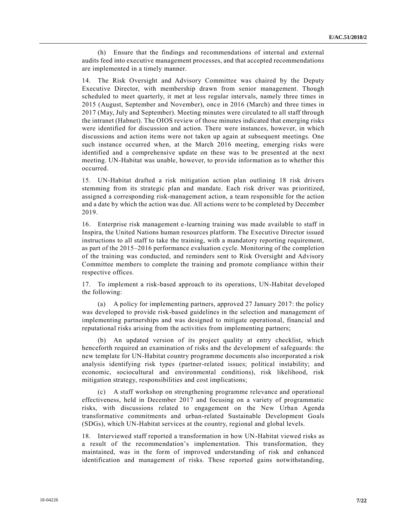(h) Ensure that the findings and recommendations of internal and external audits feed into executive management processes, and that accepted recommendations are implemented in a timely manner.

14. The Risk Oversight and Advisory Committee was chaired by the Deputy Executive Director, with membership drawn from senior management. Though scheduled to meet quarterly, it met at less regular intervals, namely three times in 2015 (August, September and November), once in 2016 (March) and three times in 2017 (May, July and September). Meeting minutes were circulated to all staff through the intranet (Habnet). The OIOS review of those minutes indicated that emerging risks were identified for discussion and action. There were instances, however, in which discussions and action items were not taken up again at subsequent meetings. One such instance occurred when, at the March 2016 meeting, emerging risks were identified and a comprehensive update on these was to be presented at the next meeting. UN-Habitat was unable, however, to provide information as to whether this occurred.

15. UN-Habitat drafted a risk mitigation action plan outlining 18 risk drivers stemming from its strategic plan and mandate. Each risk driver was prioritized, assigned a corresponding risk-management action, a team responsible for the action and a date by which the action was due. All actions were to be completed by December 2019.

16. Enterprise risk management e-learning training was made available to staff in Inspira, the United Nations human resources platform. The Executive Director issued instructions to all staff to take the training, with a mandatory reporting requirement, as part of the 2015–2016 performance evaluation cycle. Monitoring of the completion of the training was conducted, and reminders sent to Risk Oversight and Advisory Committee members to complete the training and promote compliance within their respective offices.

17. To implement a risk-based approach to its operations, UN-Habitat developed the following:

(a) A policy for implementing partners, approved 27 January 2017: the policy was developed to provide risk-based guidelines in the selection and management of implementing partnerships and was designed to mitigate operational, financial and reputational risks arising from the activities from implementing partners;

(b) An updated version of its project quality at entry checklist, which henceforth required an examination of risks and the development of safeguards: the new template for UN-Habitat country programme documents also incorporated a risk analysis identifying risk types (partner-related issues; political instability; and economic, sociocultural and environmental conditions), risk likelihood, risk mitigation strategy, responsibilities and cost implications;

(c) A staff workshop on strengthening programme relevance and operational effectiveness, held in December 2017 and focusing on a variety of programmatic risks, with discussions related to engagement on the New Urban Agenda transformative commitments and urban-related Sustainable Development Goals (SDGs), which UN-Habitat services at the country, regional and global levels.

18. Interviewed staff reported a transformation in how UN-Habitat viewed risks as a result of the recommendation's implementation. This transformation, they maintained, was in the form of improved understanding of risk and enhanced identification and management of risks. These reported gains notwithstanding,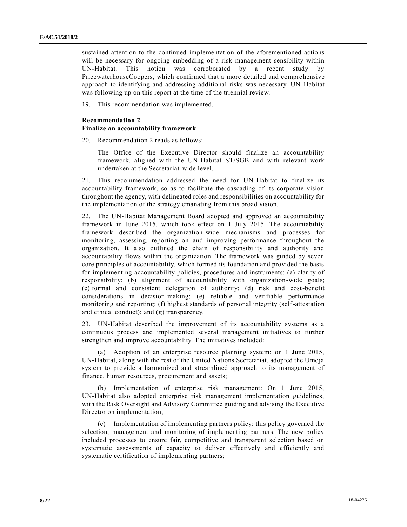sustained attention to the continued implementation of the aforementioned actions will be necessary for ongoing embedding of a risk-management sensibility within UN-Habitat. This notion was corroborated by a recent study by PricewaterhouseCoopers, which confirmed that a more detailed and compre hensive approach to identifying and addressing additional risks was necessary. UN-Habitat was following up on this report at the time of the triennial review.

19. This recommendation was implemented.

### **Recommendation 2**

#### **Finalize an accountability framework**

20. Recommendation 2 reads as follows:

The Office of the Executive Director should finalize an accountability framework, aligned with the UN-Habitat ST/SGB and with relevant work undertaken at the Secretariat-wide level.

21. This recommendation addressed the need for UN-Habitat to finalize its accountability framework, so as to facilitate the cascading of its corporate vision throughout the agency, with delineated roles and responsibilities on accountability for the implementation of the strategy emanating from this broad vision.

22. The UN-Habitat Management Board adopted and approved an accountability framework in June 2015, which took effect on 1 July 2015. The accountability framework described the organization-wide mechanisms and processes for monitoring, assessing, reporting on and improving performance throughout the organization. It also outlined the chain of responsibility and authority and accountability flows within the organization. The framework was guided by seven core principles of accountability, which formed its foundation and provided the basis for implementing accountability policies, procedures and instruments: (a) clarity of responsibility; (b) alignment of accountability with organization-wide goals; (c) formal and consistent delegation of authority; (d) risk and cost-benefit considerations in decision-making; (e) reliable and verifiable performance monitoring and reporting; (f) highest standards of personal integrity (self-attestation and ethical conduct); and (g) transparency.

23. UN-Habitat described the improvement of its accountability systems as a continuous process and implemented several management initiatives to further strengthen and improve accountability. The initiatives included:

(a) Adoption of an enterprise resource planning system: on 1 June 2015, UN-Habitat, along with the rest of the United Nations Secretariat, adopted the Umoja system to provide a harmonized and streamlined approach to its management of finance, human resources, procurement and assets;

(b) Implementation of enterprise risk management: On 1 June 2015, UN-Habitat also adopted enterprise risk management implementation guidelines, with the Risk Oversight and Advisory Committee guiding and advising the Executive Director on implementation;

(c) Implementation of implementing partners policy: this policy governed the selection, management and monitoring of implementing partners. The new policy included processes to ensure fair, competitive and transparent selection based on systematic assessments of capacity to deliver effectively and efficiently and systematic certification of implementing partners;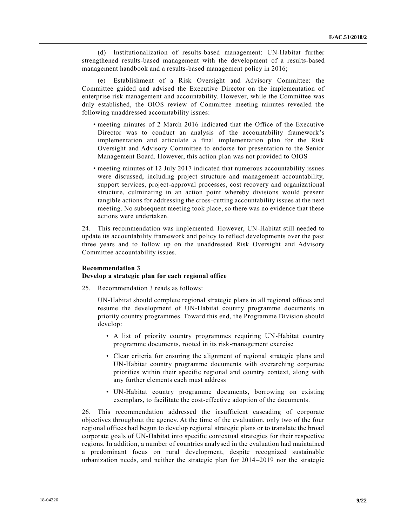(d) Institutionalization of results-based management: UN-Habitat further strengthened results-based management with the development of a results-based management handbook and a results-based management policy in 2016;

(e) Establishment of a Risk Oversight and Advisory Committee: the Committee guided and advised the Executive Director on the implementation of enterprise risk management and accountability. However, while the Committee was duly established, the OIOS review of Committee meeting minutes revealed the following unaddressed accountability issues:

- meeting minutes of 2 March 2016 indicated that the Office of the Executive Director was to conduct an analysis of the accountability framework's implementation and articulate a final implementation plan for the Risk Oversight and Advisory Committee to endorse for presentation to the Senior Management Board. However, this action plan was not provided to OIOS
- meeting minutes of 12 July 2017 indicated that numerous accountability issues were discussed, including project structure and management accountability, support services, project-approval processes, cost recovery and organizational structure, culminating in an action point whereby divisions would present tangible actions for addressing the cross-cutting accountability issues at the next meeting. No subsequent meeting took place, so there was no evidence that these actions were undertaken.

24. This recommendation was implemented. However, UN-Habitat still needed to update its accountability framework and policy to reflect developments over the past three years and to follow up on the unaddressed Risk Oversight and Advisory Committee accountability issues.

### **Recommendation 3**

#### **Develop a strategic plan for each regional office**

25. Recommendation 3 reads as follows:

UN-Habitat should complete regional strategic plans in all regional offices and resume the development of UN-Habitat country programme documents in priority country programmes. Toward this end, the Programme Division should develop:

- A list of priority country programmes requiring UN-Habitat country programme documents, rooted in its risk-management exercise
- Clear criteria for ensuring the alignment of regional strategic plans and UN-Habitat country programme documents with overarching corporate priorities within their specific regional and country context, along with any further elements each must address
- UN-Habitat country programme documents, borrowing on existing exemplars, to facilitate the cost-effective adoption of the documents.

26. This recommendation addressed the insufficient cascading of corporate objectives throughout the agency. At the time of the evaluation, only two of the four regional offices had begun to develop regional strategic plans or to translate the broad corporate goals of UN-Habitat into specific contextual strategies for their respective regions. In addition, a number of countries analysed in the evaluation had maintained a predominant focus on rural development, despite recognized sustainable urbanization needs, and neither the strategic plan for 2014–2019 nor the strategic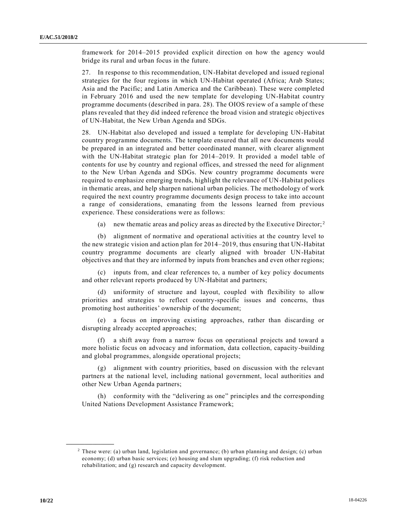framework for 2014–2015 provided explicit direction on how the agency would bridge its rural and urban focus in the future.

27. In response to this recommendation, UN-Habitat developed and issued regional strategies for the four regions in which UN-Habitat operated (Africa; Arab States; Asia and the Pacific; and Latin America and the Caribbean). These were completed in February 2016 and used the new template for developing UN-Habitat country programme documents (described in para. 28). The OIOS review of a sample of these plans revealed that they did indeed reference the broad vision and strategic objectives of UN-Habitat, the New Urban Agenda and SDGs.

28. UN-Habitat also developed and issued a template for developing UN-Habitat country programme documents. The template ensured that all new documents would be prepared in an integrated and better coordinated manner, with clearer alignment with the UN-Habitat strategic plan for 2014–2019. It provided a model table of contents for use by country and regional offices, and stressed the need for alignment to the New Urban Agenda and SDGs. New country programme documents were required to emphasize emerging trends, highlight the relevance of UN-Habitat polices in thematic areas, and help sharpen national urban policies. The methodology of work required the next country programme documents design process to take into account a range of considerations, emanating from the lessons learned from previous experience. These considerations were as follows:

(a) new thematic areas and policy areas as directed by the Executive Director;<sup>2</sup>

(b) alignment of normative and operational activities at the country level to the new strategic vision and action plan for 2014–2019, thus ensuring that UN-Habitat country programme documents are clearly aligned with broader UN-Habitat objectives and that they are informed by inputs from branches and even other regions;

(c) inputs from, and clear references to, a number of key policy documents and other relevant reports produced by UN-Habitat and partners;

(d) uniformity of structure and layout, coupled with flexibility to allow priorities and strategies to reflect country-specific issues and concerns, thus promoting host authorities' ownership of the document;

a focus on improving existing approaches, rather than discarding or disrupting already accepted approaches;

a shift away from a narrow focus on operational projects and toward a more holistic focus on advocacy and information, data collection, capacity-building and global programmes, alongside operational projects;

(g) alignment with country priorities, based on discussion with the relevant partners at the national level, including national government, local authorities and other New Urban Agenda partners;

(h) conformity with the "delivering as one" principles and the corresponding United Nations Development Assistance Framework;

<sup>&</sup>lt;sup>2</sup> These were: (a) urban land, legislation and governance; (b) urban planning and design; (c) urban economy; (d) urban basic services; (e) housing and slum upgrading; (f) risk reduction and rehabilitation; and (g) research and capacity development.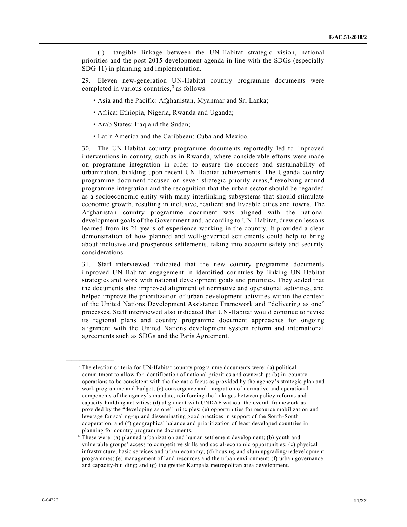(i) tangible linkage between the UN-Habitat strategic vision, national priorities and the post-2015 development agenda in line with the SDGs (especially SDG 11) in planning and implementation.

29. Eleven new-generation UN-Habitat country programme documents were completed in various countries, $3$  as follows:

- Asia and the Pacific: Afghanistan, Myanmar and Sri Lanka;
- Africa: Ethiopia, Nigeria, Rwanda and Uganda;
- Arab States: Iraq and the Sudan;
- Latin America and the Caribbean: Cuba and Mexico.

30. The UN-Habitat country programme documents reportedly led to improved interventions in-country, such as in Rwanda, where considerable efforts were made on programme integration in order to ensure the success and sustainability of urbanization, building upon recent UN-Habitat achievements. The Uganda country programme document focused on seven strategic priority areas,<sup>4</sup> revolving around programme integration and the recognition that the urban sector should be regarded as a socioeconomic entity with many interlinking subsystems that should stimulate economic growth, resulting in inclusive, resilient and liveable cities and towns. The Afghanistan country programme document was aligned with the national development goals of the Government and, according to UN-Habitat, drew on lessons learned from its 21 years of experience working in the country. It provided a clear demonstration of how planned and well-governed settlements could help to bring about inclusive and prosperous settlements, taking into account safety and security considerations.

31. Staff interviewed indicated that the new country programme documents improved UN-Habitat engagement in identified countries by linking UN-Habitat strategies and work with national development goals and priorities. They added that the documents also improved alignment of normative and operational activities, and helped improve the prioritization of urban development activities within the context of the United Nations Development Assistance Framework and "delivering as one" processes. Staff interviewed also indicated that UN-Habitat would continue to revise its regional plans and country programme document approaches for ongoing alignment with the United Nations development system reform and international agreements such as SDGs and the Paris Agreement.

<sup>3</sup> The election criteria for UN-Habitat country programme documents were: (a) political commitment to allow for identification of national priorities and ownership; (b) in-country operations to be consistent with the thematic focus as provided by the agency's strategic plan and work programme and budget; (c) convergence and integration of normative and operational components of the agency's mandate, reinforcing the linkages between policy reforms and capacity-building activities; (d) alignment with UNDAF without the overall framework as provided by the "developing as one" principles; (e) opportunities for resource mobilization and leverage for scaling-up and disseminating good practices in support of the South-South cooperation; and (f) geographical balance and prioritization of least developed countries in planning for country programme documents.

<sup>4</sup> These were: (a) planned urbanization and human settlement development; (b) youth and vulnerable groups' access to competitive skills and social-economic opportunities; (c) physical infrastructure, basic services and urban economy; (d) housing and slum upgrading/redevelopment programmes; (e) management of land resources and the urban environment; (f) urban governance and capacity-building; and (g) the greater Kampala metropolitan area development.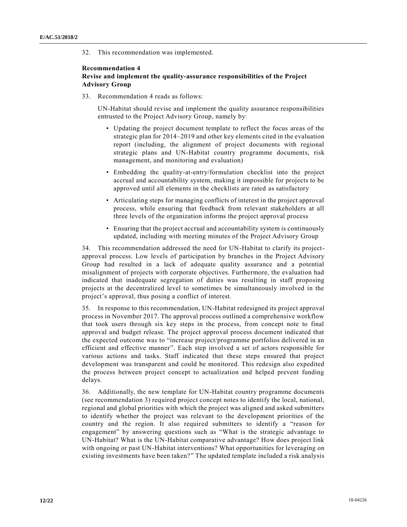32. This recommendation was implemented.

### **Recommendation 4 Revise and implement the quality-assurance responsibilities of the Project Advisory Group**

33. Recommendation 4 reads as follows:

UN-Habitat should revise and implement the quality assurance responsibilities entrusted to the Project Advisory Group, namely by:

- Updating the project document template to reflect the focus areas of the strategic plan for 2014–2019 and other key elements cited in the evaluation report (including, the alignment of project documents with regional strategic plans and UN-Habitat country programme documents, risk management, and monitoring and evaluation)
- Embedding the quality-at-entry/formulation checklist into the project accrual and accountability system, making it impossible for projects to be approved until all elements in the checklists are rated as satisfactory
- Articulating steps for managing conflicts of interest in the project approval process, while ensuring that feedback from relevant stakeholders at all three levels of the organization informs the project approval process
- Ensuring that the project accrual and accountability system is continuously updated, including with meeting minutes of the Project Advisory Group

34. This recommendation addressed the need for UN-Habitat to clarify its projectapproval process. Low levels of participation by branches in the Project Advisory Group had resulted in a lack of adequate quality assurance and a potential misalignment of projects with corporate objectives. Furthermore, the evaluation had indicated that inadequate segregation of duties was resulting in staff proposing projects at the decentralized level to sometimes be simultaneously involved in the project's approval, thus posing a conflict of interest.

35. In response to this recommendation, UN-Habitat redesigned its project approval process in November 2017. The approval process outlined a comprehensive workflow that took users through six key steps in the process, from concept note to final approval and budget release. The project approval process document indicated that the expected outcome was to "increase project/programme portfolios delivered in an efficient and effective manner". Each step involved a set of actors responsible for various actions and tasks. Staff indicated that these steps ensured that project development was transparent and could be monitored. This redesign also expedited the process between project concept to actualization and helped prevent funding delays.

36. Additionally, the new template for UN-Habitat country programme documents (see recommendation 3) required project concept notes to identify the local, national, regional and global priorities with which the project was aligned and asked submitters to identify whether the project was relevant to the development priorities of the country and the region. It also required submitters to identify a "reason for engagement" by answering questions such as "What is the strategic advantage to UN-Habitat? What is the UN-Habitat comparative advantage? How does project link with ongoing or past UN-Habitat interventions? What opportunities for leveraging on existing investments have been taken?" The updated template included a risk analysis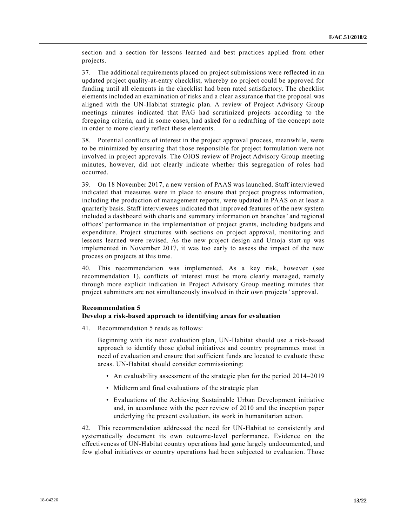section and a section for lessons learned and best practices applied from other projects.

37. The additional requirements placed on project submissions were reflected in an updated project quality-at-entry checklist, whereby no project could be approved for funding until all elements in the checklist had been rated satisfactory. The checklist elements included an examination of risks and a clear assurance that the proposal was aligned with the UN-Habitat strategic plan. A review of Project Advisory Group meetings minutes indicated that PAG had scrutinized projects according to the foregoing criteria, and in some cases, had asked for a redrafting of the concept note in order to more clearly reflect these elements.

38. Potential conflicts of interest in the project approval process, meanwhile, were to be minimized by ensuring that those responsible for project formulation were not involved in project approvals. The OIOS review of Project Advisory Group meeting minutes, however, did not clearly indicate whether this segregation of roles had occurred.

39. On 18 November 2017, a new version of PAAS was launched. Staff interviewed indicated that measures were in place to ensure that project progress information, including the production of management reports, were updated in PAAS on at least a quarterly basis. Staff interviewees indicated that improved features of the new system included a dashboard with charts and summary information on branches' and regional offices' performance in the implementation of project grants, including budgets and expenditure. Project structures with sections on project approval, monitoring and lessons learned were revised. As the new project design and Umoja start-up was implemented in November 2017, it was too early to assess the impact of the new process on projects at this time.

40. This recommendation was implemented. As a key risk, however (see recommendation 1), conflicts of interest must be more clearly managed, namely through more explicit indication in Project Advisory Group meeting minutes that project submitters are not simultaneously involved in their own projects' approval.

#### **Recommendation 5**

### **Develop a risk-based approach to identifying areas for evaluation**

41. Recommendation 5 reads as follows:

Beginning with its next evaluation plan, UN-Habitat should use a risk-based approach to identify those global initiatives and country programmes most in need of evaluation and ensure that sufficient funds are located to evaluate these areas. UN-Habitat should consider commissioning:

- An evaluability assessment of the strategic plan for the period 2014–2019
- Midterm and final evaluations of the strategic plan
- Evaluations of the Achieving Sustainable Urban Development initiative and, in accordance with the peer review of 2010 and the inception paper underlying the present evaluation, its work in humanitarian action.

42. This recommendation addressed the need for UN-Habitat to consistently and systematically document its own outcome-level performance. Evidence on the effectiveness of UN-Habitat country operations had gone largely undocumented, and few global initiatives or country operations had been subjected to evaluation. Those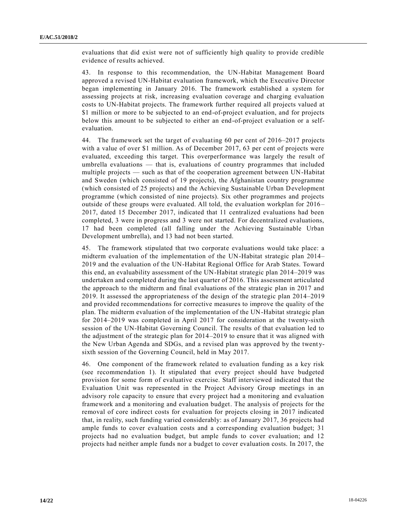evaluations that did exist were not of sufficiently high quality to provide credible evidence of results achieved.

43. In response to this recommendation, the UN-Habitat Management Board approved a revised UN-Habitat evaluation framework, which the Executive Director began implementing in January 2016. The framework established a system for assessing projects at risk, increasing evaluation coverage and charging evaluation costs to UN-Habitat projects. The framework further required all projects valued at \$1 million or more to be subjected to an end-of-project evaluation, and for projects below this amount to be subjected to either an end-of-project evaluation or a selfevaluation.

44. The framework set the target of evaluating 60 per cent of 2016–2017 projects with a value of over \$1 million. As of December 2017, 63 per cent of projects were evaluated, exceeding this target. This overperformance was largely the result of umbrella evaluations — that is, evaluations of country programmes that included multiple projects — such as that of the cooperation agreement between UN-Habitat and Sweden (which consisted of 19 projects), the Afghanistan country programme (which consisted of 25 projects) and the Achieving Sustainable Urban Development programme (which consisted of nine projects). Six other programmes and projects outside of these groups were evaluated. All told, the evaluation workplan for 2016 – 2017, dated 15 December 2017, indicated that 11 centralized evaluations had been completed, 3 were in progress and 3 were not started. For decentralized evaluations, 17 had been completed (all falling under the Achieving Sustainable Urban Development umbrella), and 13 had not been started.

45. The framework stipulated that two corporate evaluations would take place: a midterm evaluation of the implementation of the UN-Habitat strategic plan 2014– 2019 and the evaluation of the UN-Habitat Regional Office for Arab States. Toward this end, an evaluability assessment of the UN-Habitat strategic plan 2014–2019 was undertaken and completed during the last quarter of 2016. This assessment articulated the approach to the midterm and final evaluations of the strategic plan in 2017 and 2019. It assessed the appropriateness of the design of the strategic plan 2014–2019 and provided recommendations for corrective measures to improve the quality of the plan. The midterm evaluation of the implementation of the UN-Habitat strategic plan for 2014–2019 was completed in April 2017 for consideration at the twenty-sixth session of the UN-Habitat Governing Council. The results of that evaluation led to the adjustment of the strategic plan for 2014–2019 to ensure that it was aligned with the New Urban Agenda and SDGs, and a revised plan was approved by the twent ysixth session of the Governing Council, held in May 2017.

46. One component of the framework related to evaluation funding as a key risk (see recommendation 1). It stipulated that every project should have budgeted provision for some form of evaluative exercise. Staff interviewed indicated that the Evaluation Unit was represented in the Project Advisory Group meetings in an advisory role capacity to ensure that every project had a monitoring and evaluation framework and a monitoring and evaluation budget. The analysis of projects for the removal of core indirect costs for evaluation for projects closing in 2017 indicated that, in reality, such funding varied considerably: as of January 2017, 36 projects had ample funds to cover evaluation costs and a corresponding evaluation budget; 31 projects had no evaluation budget, but ample funds to cover evaluation; and 12 projects had neither ample funds nor a budget to cover evaluation costs. In 2017, the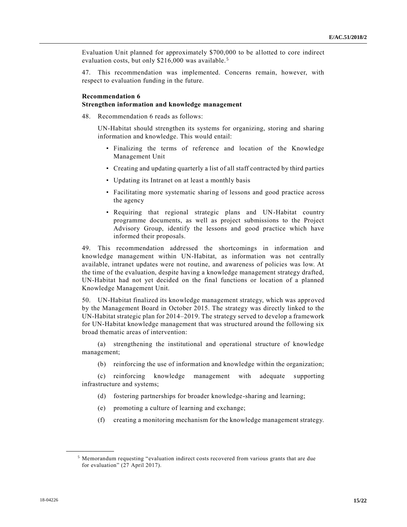Evaluation Unit planned for approximately \$700,000 to be allotted to core indirect evaluation costs, but only \$216,000 was available.<sup>5</sup>

47. This recommendation was implemented. Concerns remain, however, with respect to evaluation funding in the future.

### **Recommendation 6**

#### **Strengthen information and knowledge management**

48. Recommendation 6 reads as follows:

UN-Habitat should strengthen its systems for organizing, storing and sharing information and knowledge. This would entail:

- Finalizing the terms of reference and location of the Knowledge Management Unit
- Creating and updating quarterly a list of all staff contracted by third parties
- Updating its Intranet on at least a monthly basis
- Facilitating more systematic sharing of lessons and good practice across the agency
- Requiring that regional strategic plans and UN-Habitat country programme documents, as well as project submissions to the Project Advisory Group, identify the lessons and good practice which have informed their proposals.

49. This recommendation addressed the shortcomings in information and knowledge management within UN-Habitat, as information was not centrally available, intranet updates were not routine, and awareness of policies was low. At the time of the evaluation, despite having a knowledge management strategy drafted, UN-Habitat had not yet decided on the final functions or location of a planned Knowledge Management Unit.

50. UN-Habitat finalized its knowledge management strategy, which was approved by the Management Board in October 2015. The strategy was directly linked to the UN-Habitat strategic plan for 2014–2019. The strategy served to develop a framework for UN-Habitat knowledge management that was structured around the following six broad thematic areas of intervention:

(a) strengthening the institutional and operational structure of knowledge management;

(b) reinforcing the use of information and knowledge within the organization;

(c) reinforcing knowledge management with adequate supporting infrastructure and systems;

- (d) fostering partnerships for broader knowledge-sharing and learning;
- (e) promoting a culture of learning and exchange;
- (f) creating a monitoring mechanism for the knowledge management strategy.

<sup>5</sup> Memorandum requesting "evaluation indirect costs recovered from various grants that are due for evaluation" (27 April 2017).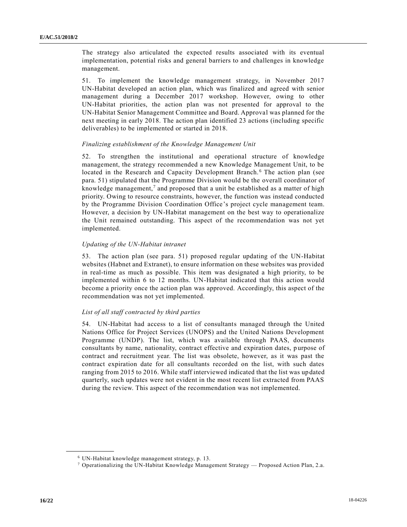The strategy also articulated the expected results associated with its eventual implementation, potential risks and general barriers to and challenges in knowledge management.

51. To implement the knowledge management strategy, in November 2017 UN-Habitat developed an action plan, which was finalized and agreed with senior management during a December 2017 workshop. However, owing to other UN-Habitat priorities, the action plan was not presented for approval to the UN-Habitat Senior Management Committee and Board. Approval was planned for the next meeting in early 2018. The action plan identified 23 actions (including specific deliverables) to be implemented or started in 2018.

## *Finalizing establishment of the Knowledge Management Unit*

52. To strengthen the institutional and operational structure of knowledge management, the strategy recommended a new Knowledge Management Unit, to be located in the Research and Capacity Development Branch.<sup>6</sup> The action plan (see para. 51) stipulated that the Programme Division would be the overall coordinator of knowledge management,<sup>7</sup> and proposed that a unit be established as a matter of high priority. Owing to resource constraints, however, the function was instead conducted by the Programme Division Coordination Office's project cycle management team. However, a decision by UN-Habitat management on the best way to operationalize the Unit remained outstanding. This aspect of the recommendation was not yet implemented.

## *Updating of the UN-Habitat intranet*

53. The action plan (see para. 51) proposed regular updating of the UN-Habitat websites (Habnet and Extranet), to ensure information on these websites was provided in real-time as much as possible. This item was designated a high priority, to be implemented within 6 to 12 months. UN-Habitat indicated that this action would become a priority once the action plan was approved. Accordingly, this aspect of the recommendation was not yet implemented.

## *List of all staff contracted by third parties*

54. UN-Habitat had access to a list of consultants managed through the United Nations Office for Project Services (UNOPS) and the United Nations Development Programme (UNDP). The list, which was available through PAAS, documents consultants by name, nationality, contract effective and expiration dates, purpose of contract and recruitment year. The list was obsolete, however, as it was past the contract expiration date for all consultants recorded on the list, with such dates ranging from 2015 to 2016. While staff interviewed indicated that the list was updated quarterly, such updates were not evident in the most recent list extracted from PAAS during the review. This aspect of the recommendation was not implemented.

<sup>6</sup> UN-Habitat knowledge management strategy, p. 13.

<sup>&</sup>lt;sup>7</sup> Operationalizing the UN-Habitat Knowledge Management Strategy — Proposed Action Plan, 2.a.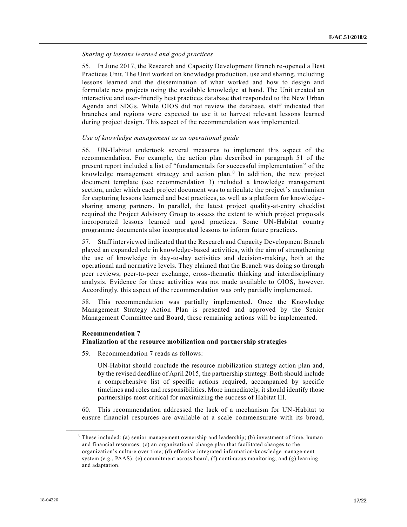#### *Sharing of lessons learned and good practices*

55. In June 2017, the Research and Capacity Development Branch re-opened a Best Practices Unit. The Unit worked on knowledge production, use and sharing, including lessons learned and the dissemination of what worked and how to design and formulate new projects using the available knowledge at hand. The Unit created an interactive and user-friendly best practices database that responded to the New Urban Agenda and SDGs. While OIOS did not review the database, staff indicated that branches and regions were expected to use it to harvest relevant lessons learned during project design. This aspect of the recommendation was implemented.

#### *Use of knowledge management as an operational guide*

56. UN-Habitat undertook several measures to implement this aspect of the recommendation. For example, the action plan described in paragraph 51 of the present report included a list of "fundamentals for successful implementation" of the knowledge management strategy and action plan.<sup>8</sup> In addition, the new project document template (see recommendation 3) included a knowledge management section, under which each project document was to articulate the project's mechanism for capturing lessons learned and best practices, as well as a platform for knowledge sharing among partners. In parallel, the latest project quality-at-entry checklist required the Project Advisory Group to assess the extent to which project proposals incorporated lessons learned and good practices. Some UN-Habitat country programme documents also incorporated lessons to inform future practices.

57. Staff interviewed indicated that the Research and Capacity Development Branch played an expanded role in knowledge-based activities, with the aim of strengthening the use of knowledge in day-to-day activities and decision-making, both at the operational and normative levels. They claimed that the Branch was doing so through peer reviews, peer-to-peer exchange, cross-thematic thinking and interdisciplinary analysis. Evidence for these activities was not made available to OIOS, however. Accordingly, this aspect of the recommendation was only partially implemented.

58. This recommendation was partially implemented. Once the Knowledge Management Strategy Action Plan is presented and approved by the Senior Management Committee and Board, these remaining actions will be implemented.

#### **Recommendation 7**

**\_\_\_\_\_\_\_\_\_\_\_\_\_\_\_\_\_\_**

### **Finalization of the resource mobilization and partnership strategies**

59. Recommendation 7 reads as follows:

UN-Habitat should conclude the resource mobilization strategy action plan and, by the revised deadline of April 2015, the partnership strategy. Both should include a comprehensive list of specific actions required, accompanied by specific timelines and roles and responsibilities. More immediately, it should identify those partnerships most critical for maximizing the success of Habitat III.

60. This recommendation addressed the lack of a mechanism for UN-Habitat to ensure financial resources are available at a scale commensurate with its broad,

<sup>8</sup> These included: (a) senior management ownership and leadership; (b) investment of time, human and financial resources; (c) an organizational change plan that facilitated changes to the organization's culture over time; (d) effective integrated information/knowledge management system (e.g., PAAS); (e) commitment across board, (f) continuous monitoring; and (g) learning and adaptation.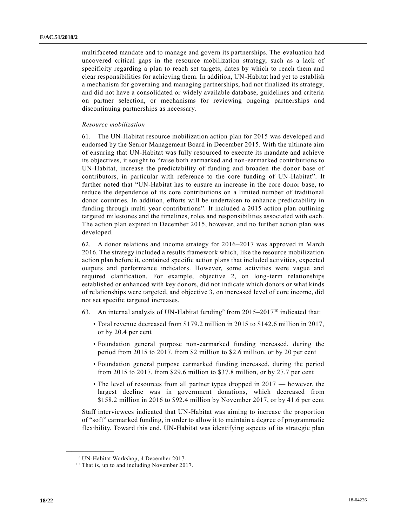multifaceted mandate and to manage and govern its partnerships. The evaluation had uncovered critical gaps in the resource mobilization strategy, such as a lack of specificity regarding a plan to reach set targets, dates by which to reach them and clear responsibilities for achieving them. In addition, UN-Habitat had yet to establish a mechanism for governing and managing partnerships, had not finalized its strategy, and did not have a consolidated or widely available database, guidelines and criteria on partner selection, or mechanisms for reviewing ongoing partnerships and discontinuing partnerships as necessary.

#### *Resource mobilization*

61. The UN-Habitat resource mobilization action plan for 2015 was developed and endorsed by the Senior Management Board in December 2015. With the ultimate aim of ensuring that UN-Habitat was fully resourced to execute its mandate and achieve its objectives, it sought to "raise both earmarked and non-earmarked contributions to UN-Habitat, increase the predictability of funding and broaden the donor base of contributors, in particular with reference to the core funding of UN-Habitat". It further noted that "UN-Habitat has to ensure an increase in the core donor base, to reduce the dependence of its core contributions on a limited number of traditional donor countries. In addition, efforts will be undertaken to enhance predictability in funding through multi-year contributions". It included a 2015 action plan outlining targeted milestones and the timelines, roles and responsibilities associated with each. The action plan expired in December 2015, however, and no further action plan was developed.

62. A donor relations and income strategy for 2016–2017 was approved in March 2016. The strategy included a results framework which, like the resource mobilization action plan before it, contained specific action plans that included activities, expected outputs and performance indicators. However, some activities were vague and required clarification. For example, objective 2, on long-term relationships established or enhanced with key donors, did not indicate which donors or what kinds of relationships were targeted, and objective 3, on increased level of core income, did not set specific targeted increases.

- 63. An internal analysis of UN-Habitat funding<sup>9</sup> from 2015–2017<sup>10</sup> indicated that:
	- Total revenue decreased from \$179.2 million in 2015 to \$142.6 million in 2017, or by 20.4 per cent
	- Foundation general purpose non-earmarked funding increased, during the period from 2015 to 2017, from \$2 million to \$2.6 million, or by 20 per cent
	- Foundation general purpose earmarked funding increased, during the period from 2015 to 2017, from \$29.6 million to \$37.8 million, or by 27.7 per cent
	- The level of resources from all partner types dropped in 2017 however, the largest decline was in government donations, which decreased from \$158.2 million in 2016 to \$92.4 million by November 2017, or by 41.6 per cent

Staff interviewees indicated that UN-Habitat was aiming to increase the proportion of "soft" earmarked funding, in order to allow it to maintain a degree of programmatic flexibility. Toward this end, UN-Habitat was identifying aspects of its strategic plan

<sup>9</sup> UN-Habitat Workshop, 4 December 2017.

<sup>&</sup>lt;sup>10</sup> That is, up to and including November 2017.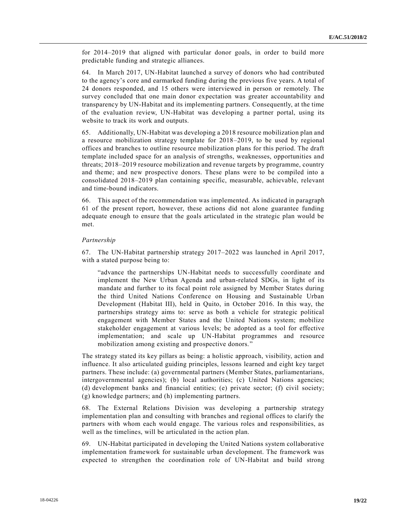for 2014–2019 that aligned with particular donor goals, in order to build more predictable funding and strategic alliances.

64. In March 2017, UN-Habitat launched a survey of donors who had contributed to the agency's core and earmarked funding during the previous five years. A total of 24 donors responded, and 15 others were interviewed in person or remotely. The survey concluded that one main donor expectation was greater accountability and transparency by UN-Habitat and its implementing partners. Consequently, at the time of the evaluation review, UN-Habitat was developing a partner portal, using its website to track its work and outputs.

65. Additionally, UN-Habitat was developing a 2018 resource mobilization plan and a resource mobilization strategy template for 2018–2019, to be used by regional offices and branches to outline resource mobilization plans for this period. The draft template included space for an analysis of strengths, weaknesses, opportunities and threats; 2018–2019 resource mobilization and revenue targets by programme, country and theme; and new prospective donors. These plans were to be compiled into a consolidated 2018–2019 plan containing specific, measurable, achievable, relevant and time-bound indicators.

66. This aspect of the recommendation was implemented. As indicated in paragraph 61 of the present report, however, these actions did not alone guarantee funding adequate enough to ensure that the goals articulated in the strategic plan would be met.

#### *Partnership*

67. The UN-Habitat partnership strategy 2017–2022 was launched in April 2017, with a stated purpose being to:

"advance the partnerships UN-Habitat needs to successfully coordinate and implement the New Urban Agenda and urban-related SDGs, in light of its mandate and further to its focal point role assigned by Member States during the third United Nations Conference on Housing and Sustainable Urban Development (Habitat III), held in Quito, in October 2016. In this way, the partnerships strategy aims to: serve as both a vehicle for strategic political engagement with Member States and the United Nations system; mobilize stakeholder engagement at various levels; be adopted as a tool for effective implementation; and scale up UN-Habitat programmes and resource mobilization among existing and prospective donors."

The strategy stated its key pillars as being: a holistic approach, visibility, action and influence. It also articulated guiding principles, lessons learned and eight key target partners. These include: (a) governmental partners (Member States, parliamentarians, intergovernmental agencies); (b) local authorities; (c) United Nations agencies; (d) development banks and financial entities; (e) private sector; (f) civil society; (g) knowledge partners; and (h) implementing partners.

68. The External Relations Division was developing a partnership strategy implementation plan and consulting with branches and regional offices to clarify the partners with whom each would engage. The various roles and responsibilities, as well as the timelines, will be articulated in the action plan.

69. UN-Habitat participated in developing the United Nations system collaborative implementation framework for sustainable urban development. The framework was expected to strengthen the coordination role of UN-Habitat and build strong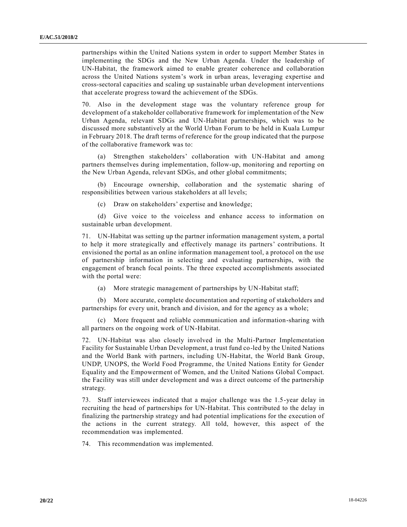partnerships within the United Nations system in order to support Member States in implementing the SDGs and the New Urban Agenda. Under the leadership of UN-Habitat, the framework aimed to enable greater coherence and collaboration across the United Nations system's work in urban areas, leveraging expertise and cross-sectoral capacities and scaling up sustainable urban development interventions that accelerate progress toward the achievement of the SDGs.

70. Also in the development stage was the voluntary reference group for development of a stakeholder collaborative framework for implementation of the New Urban Agenda, relevant SDGs and UN-Habitat partnerships, which was to be discussed more substantively at the World Urban Forum to be held in Kuala Lumpur in February 2018. The draft terms of reference for the group indicated that the purpose of the collaborative framework was to:

(a) Strengthen stakeholders' collaboration with UN-Habitat and among partners themselves during implementation, follow-up, monitoring and reporting on the New Urban Agenda, relevant SDGs, and other global commitments;

(b) Encourage ownership, collaboration and the systematic sharing of responsibilities between various stakeholders at all levels;

(c) Draw on stakeholders' expertise and knowledge;

(d) Give voice to the voiceless and enhance access to information on sustainable urban development.

71. UN-Habitat was setting up the partner information management system, a portal to help it more strategically and effectively manage its partners' contributions. It envisioned the portal as an online information management tool, a protocol on the use of partnership information in selecting and evaluating partnerships, with the engagement of branch focal points. The three expected accomplishments associated with the portal were:

(a) More strategic management of partnerships by UN-Habitat staff;

(b) More accurate, complete documentation and reporting of stakeholders and partnerships for every unit, branch and division, and for the agency as a whole;

(c) More frequent and reliable communication and information-sharing with all partners on the ongoing work of UN-Habitat.

72. UN-Habitat was also closely involved in the Multi-Partner Implementation Facility for Sustainable Urban Development, a trust fund co-led by the United Nations and the World Bank with partners, including UN-Habitat, the World Bank Group, UNDP, UNOPS, the World Food Programme, the United Nations Entity for Gender Equality and the Empowerment of Women, and the United Nations Global Compact. the Facility was still under development and was a direct outcome of the partnership strategy.

73. Staff interviewees indicated that a major challenge was the 1.5-year delay in recruiting the head of partnerships for UN-Habitat. This contributed to the delay in finalizing the partnership strategy and had potential implications for the execution of the actions in the current strategy. All told, however, this aspect of the recommendation was implemented.

74. This recommendation was implemented.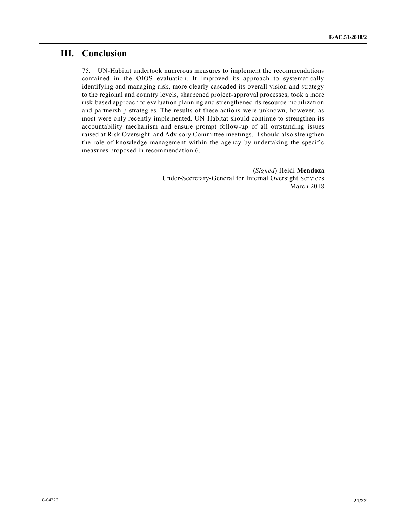# **III. Conclusion**

75. UN-Habitat undertook numerous measures to implement the recommendations contained in the OIOS evaluation. It improved its approach to systematically identifying and managing risk, more clearly cascaded its overall vision and strategy to the regional and country levels, sharpened project-approval processes, took a more risk-based approach to evaluation planning and strengthened its resource mobilization and partnership strategies. The results of these actions were unknown, however, as most were only recently implemented. UN-Habitat should continue to strengthen its accountability mechanism and ensure prompt follow-up of all outstanding issues raised at Risk Oversight and Advisory Committee meetings. It should also strengthen the role of knowledge management within the agency by undertaking the specific measures proposed in recommendation 6.

> (*Signed*) Heidi **Mendoza** Under-Secretary-General for Internal Oversight Services March 2018